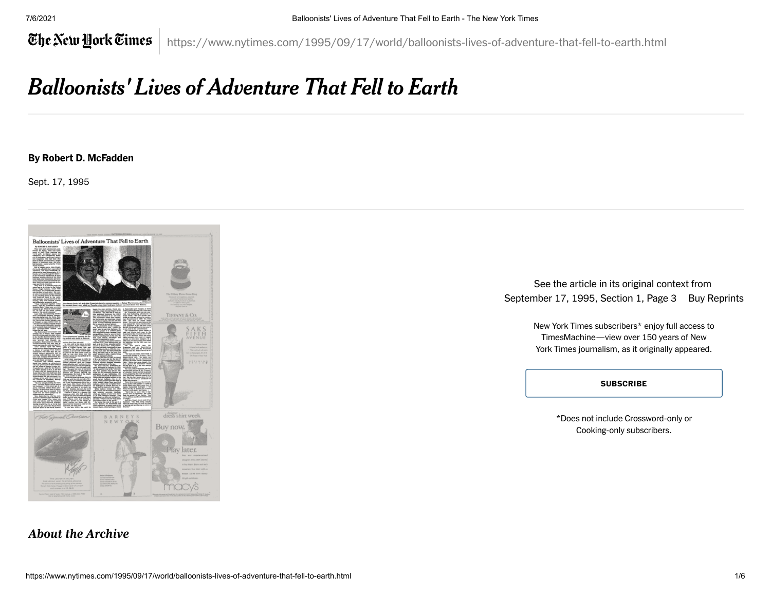The New York Times https://www.nytimes.com/1995/09/17/world/balloonists-lives-of-adventure-that-fell-to-earth.html

## Balloonists' Lives of Adventure That Fell to Earth

## By Robert D. McFadden

Sept. 17, 1995



## About the Archive

See the article in its original context from September 17, 1995, Section 1, Page 3 [Buy Reprints](https://store.nytimes.com/collections/new-york-times-page-reprints?utm_source=nytimes&utm_medium=article-page&utm_campaign=reprints)

> New York Times subscribers\* enjoy full access to TimesMachine—view over 150 years of New York Times journalism, as it originally appeared.

> > [SUBSCRIBE](https://www.nytimes.com/subscription/multiproduct/lp8HYKU.html?campaignId=4KKHF)

\*Does not include Crossword-only or Cooking-only subscribers.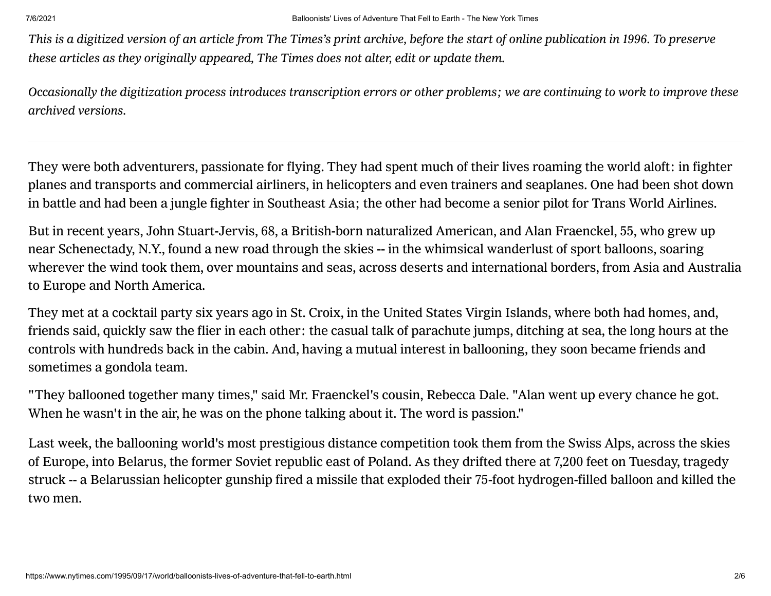This is a digitized version of an article from The Times's print archive, before the start of online publication in 1996. To preserve these articles as they originally appeared, The Times does not alter, edit or update them.

Occasionally the digitization process introduces transcription errors or other problems; we are continuing to work to improve these archived versions.

They were both adventurers, passionate for flying. They had spent much of their lives roaming the world aloft: in fighter planes and transports and commercial airliners, in helicopters and even trainers and seaplanes. One had been shot down in battle and had been a jungle fighter in Southeast Asia; the other had become a senior pilot for Trans World Airlines.

But in recent years, John Stuart-Jervis, 68, a British-born naturalized American, and Alan Fraenckel, 55, who grew up near Schenectady, N.Y., found a new road through the skies -- in the whimsical wanderlust of sport balloons, soaring wherever the wind took them, over mountains and seas, across deserts and international borders, from Asia and Australia to Europe and North America.

They met at a cocktail party six years ago in St. Croix, in the United States Virgin Islands, where both had homes, and, friends said, quickly saw the flier in each other: the casual talk of parachute jumps, ditching at sea, the long hours at the controls with hundreds back in the cabin. And, having a mutual interest in ballooning, they soon became friends and sometimes a gondola team.

"They ballooned together many times," said Mr. Fraenckel's cousin, Rebecca Dale. "Alan went up every chance he got. When he wasn't in the air, he was on the phone talking about it. The word is passion."

Last week, the ballooning world's most prestigious distance competition took them from the Swiss Alps, across the skies of Europe, into Belarus, the former Soviet republic east of Poland. As they drifted there at 7,200 feet on Tuesday, tragedy struck -- a Belarussian helicopter gunship fired a missile that exploded their 75-foot hydrogen-filled balloon and killed the two men.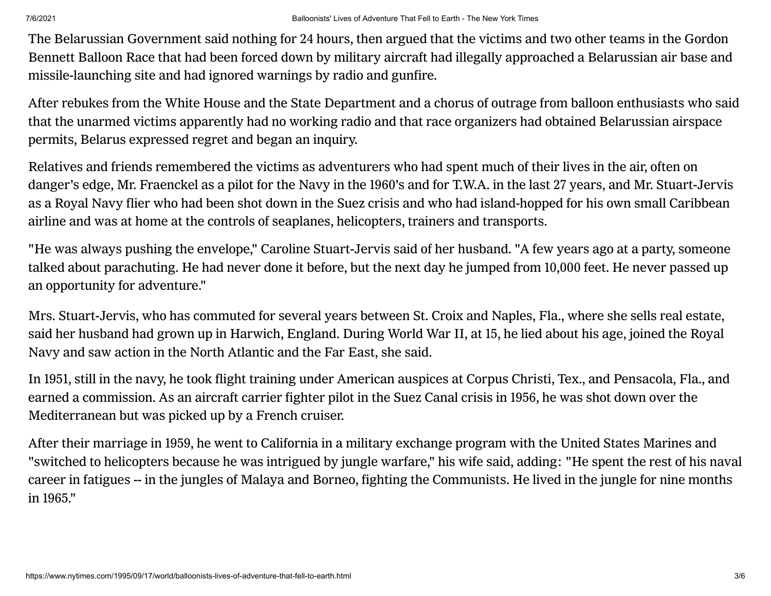The Belarussian Government said nothing for 24 hours, then argued that the victims and two other teams in the Gordon Bennett Balloon Race that had been forced down by military aircraft had illegally approached a Belarussian air base and missile-launching site and had ignored warnings by radio and gunfire.

After rebukes from the White House and the State Department and a chorus of outrage from balloon enthusiasts who said that the unarmed victims apparently had no working radio and that race organizers had obtained Belarussian airspace permits, Belarus expressed regret and began an inquiry.

Relatives and friends remembered the victims as adventurers who had spent much of their lives in the air, often on danger's edge, Mr. Fraenckel as a pilot for the Navy in the 1960's and for T.W.A. in the last 27 years, and Mr. Stuart-Jervis as a Royal Navy flier who had been shot down in the Suez crisis and who had island-hopped for his own small Caribbean airline and was at home at the controls of seaplanes, helicopters, trainers and transports.

"He was always pushing the envelope," Caroline Stuart-Jervis said of her husband. "A few years ago at a party, someone talked about parachuting. He had never done it before, but the next day he jumped from 10,000 feet. He never passed up an opportunity for adventure."

Mrs. Stuart-Jervis, who has commuted for several years between St. Croix and Naples, Fla., where she sells real estate, said her husband had grown up in Harwich, England. During World War II, at 15, he lied about his age, joined the Royal Navy and saw action in the North Atlantic and the Far East, she said.

In 1951, still in the navy, he took flight training under American auspices at Corpus Christi, Tex., and Pensacola, Fla., and earned a commission. As an aircraft carrier fighter pilot in the Suez Canal crisis in 1956, he was shot down over the Mediterranean but was picked up by a French cruiser.

After their marriage in 1959, he went to California in a military exchange program with the United States Marines and "switched to helicopters because he was intrigued by jungle warfare," his wife said, adding: "He spent the rest of his naval career in fatigues -- in the jungles of Malaya and Borneo, fighting the Communists. He lived in the jungle for nine months in 1965."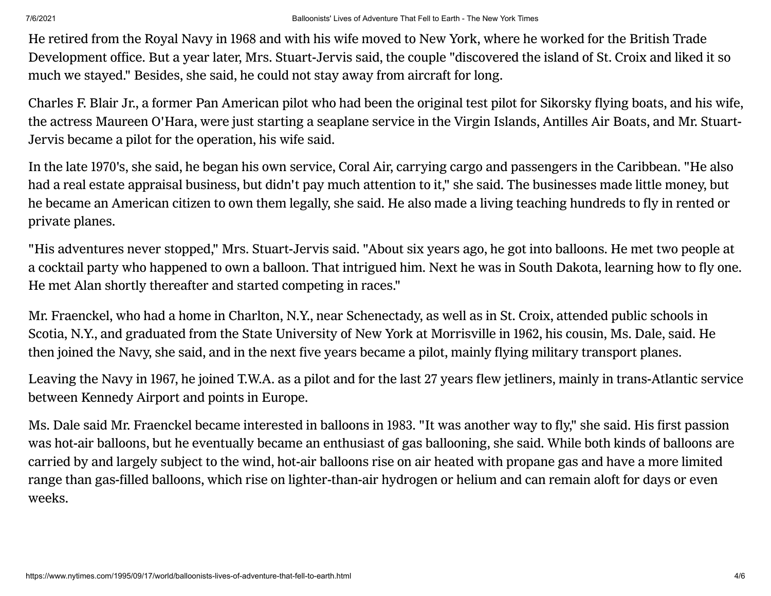He retired from the Royal Navy in 1968 and with his wife moved to New York, where he worked for the British Trade Development office. But a year later, Mrs. Stuart-Jervis said, the couple "discovered the island of St. Croix and liked it so much we stayed." Besides, she said, he could not stay away from aircraft for long.

Charles F. Blair Jr., a former Pan American pilot who had been the original test pilot for Sikorsky flying boats, and his wife, the actress Maureen O'Hara, were just starting a seaplane service in the Virgin Islands, Antilles Air Boats, and Mr. Stuart-Jervis became a pilot for the operation, his wife said.

In the late 1970's, she said, he began his own service, Coral Air, carrying cargo and passengers in the Caribbean. "He also had a real estate appraisal business, but didn't pay much attention to it," she said. The businesses made little money, but he became an American citizen to own them legally, she said. He also made a living teaching hundreds to fly in rented or private planes.

"His adventures never stopped," Mrs. Stuart-Jervis said. "About six years ago, he got into balloons. He met two people at a cocktail party who happened to own a balloon. That intrigued him. Next he was in South Dakota, learning how to fly one. He met Alan shortly thereafter and started competing in races."

Mr. Fraenckel, who had a home in Charlton, N.Y., near Schenectady, as well as in St. Croix, attended public schools in Scotia, N.Y., and graduated from the State University of New York at Morrisville in 1962, his cousin, Ms. Dale, said. He then joined the Navy, she said, and in the next five years became a pilot, mainly flying military transport planes.

Leaving the Navy in 1967, he joined T.W.A. as a pilot and for the last 27 years flew jetliners, mainly in trans-Atlantic service between Kennedy Airport and points in Europe.

Ms. Dale said Mr. Fraenckel became interested in balloons in 1983. "It was another way to fly," she said. His first passion was hot-air balloons, but he eventually became an enthusiast of gas ballooning, she said. While both kinds of balloons are carried by and largely subject to the wind, hot-air balloons rise on air heated with propane gas and have a more limited range than gas-filled balloons, which rise on lighter-than-air hydrogen or helium and can remain aloft for days or even weeks.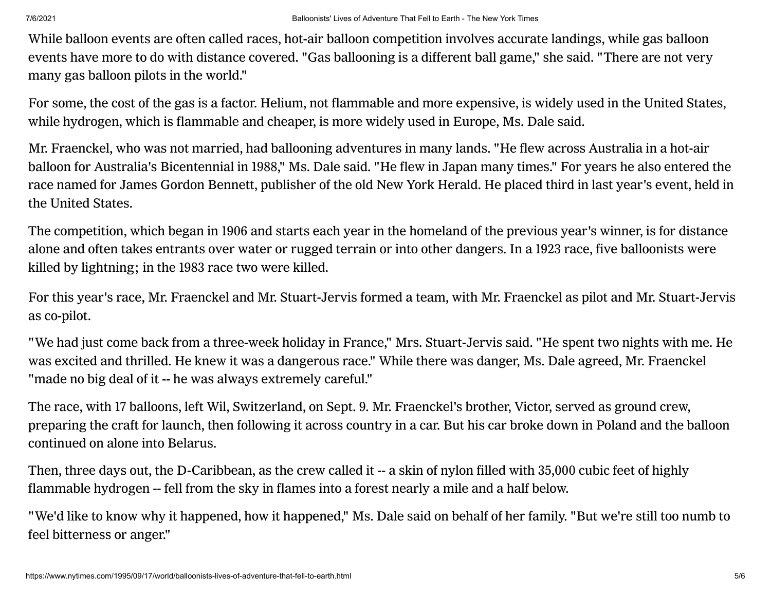While balloon events are often called races, hot-air balloon competition involves accurate landings, while gas balloon events have more to do with distance covered. "Gas ballooning is a different ball game," she said. "There are not very many gas balloon pilots in the world."

For some, the cost of the gas is a factor. Helium, not flammable and more expensive, is widely used in the United States, while hydrogen, which is flammable and cheaper, is more widely used in Europe, Ms. Dale said.

Mr. Fraenckel, who was not married, had ballooning adventures in many lands. "He flew across Australia in a hot-air balloon for Australia's Bicentennial in 1988," Ms. Dale said. "He flew in Japan many times." For years he also entered the race named for James Gordon Bennett, publisher of the old New York Herald. He placed third in last year's event, held in the United States.

The competition, which began in 1906 and starts each year in the homeland of the previous year's winner, is for distance alone and often takes entrants over water or rugged terrain or into other dangers. In a 1923 race, five balloonists were killed by lightning; in the 1983 race two were killed.

For this year's race, Mr. Fraenckel and Mr. Stuart-Jervis formed a team, with Mr. Fraenckel as pilot and Mr. Stuart-Jervis as co-pilot.

"We had just come back from a three-week holiday in France," Mrs. Stuart-Jervis said. "He spent two nights with me. He was excited and thrilled. He knew it was a dangerous race." While there was danger, Ms. Dale agreed, Mr. Fraenckel "made no big deal of it -- he was always extremely careful."

The race, with 17 balloons, left Wil, Switzerland, on Sept. 9. Mr. Fraenckel's brother, Victor, served as ground crew, preparing the craft for launch, then following it across country in a car. But his car broke down in Poland and the balloon continued on alone into Belarus.

Then, three days out, the D-Caribbean, as the crew called it -- a skin of nylon filled with 35,000 cubic feet of highly flammable hydrogen -- fell from the sky in flames into a forest nearly a mile and a half below.

"We'd like to know why it happened, how it happened," Ms. Dale said on behalf of her family. "But we're still too numb to feel bitterness or anger."